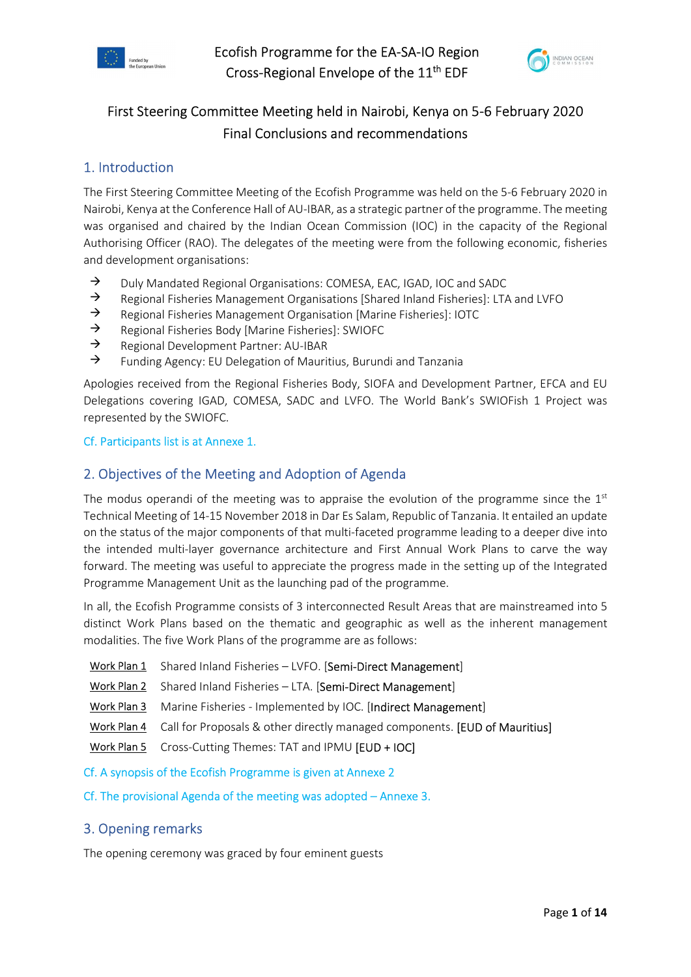



# First Steering Committee Meeting held in Nairobi, Kenya on 5-6 February 2020 Final Conclusions and recommendations

## 1. Introduction

The First Steering Committee Meeting of the Ecofish Programme was held on the 5-6 February 2020 in Nairobi, Kenya at the Conference Hall of AU-IBAR, as a strategic partner of the programme. The meeting was organised and chaired by the Indian Ocean Commission (IOC) in the capacity of the Regional Authorising Officer (RAO). The delegates of the meeting were from the following economic, fisheries and development organisations:

- $\rightarrow$  Duly Mandated Regional Organisations: COMESA, EAC, IGAD, IOC and SADC
- $\rightarrow$  Regional Fisheries Management Organisations [Shared Inland Fisheries]: LTA and LVFO
- $\rightarrow$  Regional Fisheries Management Organisation [Marine Fisheries]: IOTC
- $\rightarrow$  Regional Fisheries Body [Marine Fisheries]: SWIOFC<br>  $\rightarrow$  Regional Development Partner: AU-IBAR
- Regional Development Partner: AU-IBAR
- $\rightarrow$  Funding Agency: EU Delegation of Mauritius, Burundi and Tanzania

Apologies received from the Regional Fisheries Body, SIOFA and Development Partner, EFCA and EU Delegations covering IGAD, COMESA, SADC and LVFO. The World Bank's SWIOFish 1 Project was represented by the SWIOFC.

## Cf. Participants list is at Annexe 1.

## 2. Objectives of the Meeting and Adoption of Agenda

The modus operandi of the meeting was to appraise the evolution of the programme since the  $1<sup>st</sup>$ Technical Meeting of 14-15 November 2018 in Dar Es Salam, Republic of Tanzania. It entailed an update on the status of the major components of that multi-faceted programme leading to a deeper dive into the intended multi-layer governance architecture and First Annual Work Plans to carve the way forward. The meeting was useful to appreciate the progress made in the setting up of the Integrated Programme Management Unit as the launching pad of the programme.

In all, the Ecofish Programme consists of 3 interconnected Result Areas that are mainstreamed into 5 distinct Work Plans based on the thematic and geographic as well as the inherent management modalities. The five Work Plans of the programme are as follows:

- Work Plan 1 Shared Inland Fisheries LVFO. [Semi-Direct Management]
- Work Plan 2 Shared Inland Fisheries LTA. [Semi-Direct Management]
- Work Plan 3 Marine Fisheries Implemented by IOC. [Indirect Management]
- Work Plan 4 Call for Proposals & other directly managed components. [EUD of Mauritius]
- Work Plan 5 Cross-Cutting Themes: TAT and IPMU [EUD + IOC]
- Cf. A synopsis of the Ecofish Programme is given at Annexe 2

Cf. The provisional Agenda of the meeting was adopted – Annexe 3.

## 3. Opening remarks

The opening ceremony was graced by four eminent guests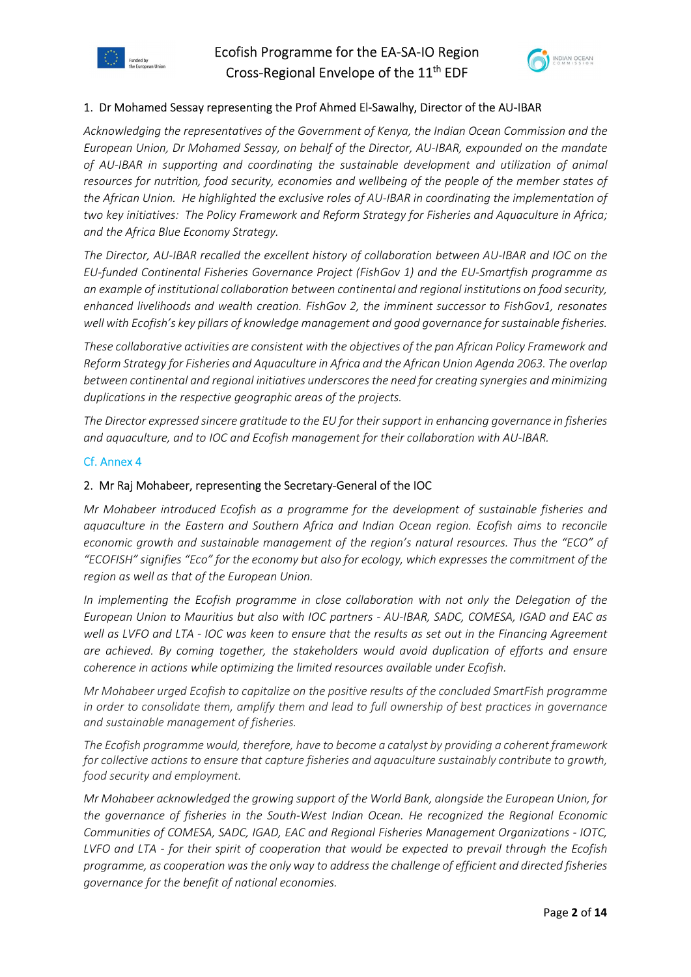





### 1. Dr Mohamed Sessay representing the Prof Ahmed El-Sawalhy, Director of the AU-IBAR

Acknowledging the representatives of the Government of Kenya, the Indian Ocean Commission and the European Union, Dr Mohamed Sessay, on behalf of the Director, AU-IBAR, expounded on the mandate of AU-IBAR in supporting and coordinating the sustainable development and utilization of animal resources for nutrition, food security, economies and wellbeing of the people of the member states of the African Union. He highlighted the exclusive roles of AU-IBAR in coordinating the implementation of two key initiatives: The Policy Framework and Reform Strategy for Fisheries and Aquaculture in Africa; and the Africa Blue Economy Strategy.

The Director, AU-IBAR recalled the excellent history of collaboration between AU-IBAR and IOC on the EU-funded Continental Fisheries Governance Project (FishGov 1) and the EU-Smartfish programme as an example of institutional collaboration between continental and regional institutions on food security, enhanced livelihoods and wealth creation. FishGov 2, the imminent successor to FishGov1, resonates well with Ecofish's key pillars of knowledge management and good governance for sustainable fisheries.

These collaborative activities are consistent with the objectives of the pan African Policy Framework and Reform Strategy for Fisheries and Aquaculture in Africa and the African Union Agenda 2063. The overlap between continental and regional initiatives underscores the need for creating synergies and minimizing duplications in the respective geographic areas of the projects.

The Director expressed sincere gratitude to the EU for their support in enhancing governance in fisheries and aquaculture, and to IOC and Ecofish management for their collaboration with AU-IBAR.

### Cf. Annex 4

### 2. Mr Raj Mohabeer, representing the Secretary-General of the IOC

Mr Mohabeer introduced Ecofish as a programme for the development of sustainable fisheries and aquaculture in the Eastern and Southern Africa and Indian Ocean region. Ecofish aims to reconcile economic growth and sustainable management of the region's natural resources. Thus the "ECO" of "ECOFISH" signifies "Eco" for the economy but also for ecology, which expresses the commitment of the region as well as that of the European Union.

In implementing the Ecofish programme in close collaboration with not only the Delegation of the European Union to Mauritius but also with IOC partners - AU-IBAR, SADC, COMESA, IGAD and EAC as well as LVFO and LTA - IOC was keen to ensure that the results as set out in the Financing Agreement are achieved. By coming together, the stakeholders would avoid duplication of efforts and ensure coherence in actions while optimizing the limited resources available under Ecofish.

Mr Mohabeer urged Ecofish to capitalize on the positive results of the concluded SmartFish programme in order to consolidate them, amplify them and lead to full ownership of best practices in governance and sustainable management of fisheries.

The Ecofish programme would, therefore, have to become a catalyst by providing a coherent framework for collective actions to ensure that capture fisheries and aquaculture sustainably contribute to growth, food security and employment.

Mr Mohabeer acknowledged the growing support of the World Bank, alongside the European Union, for the governance of fisheries in the South-West Indian Ocean. He recognized the Regional Economic Communities of COMESA, SADC, IGAD, EAC and Regional Fisheries Management Organizations - IOTC, LVFO and LTA - for their spirit of cooperation that would be expected to prevail through the Ecofish programme, as cooperation was the only way to address the challenge of efficient and directed fisheries governance for the benefit of national economies.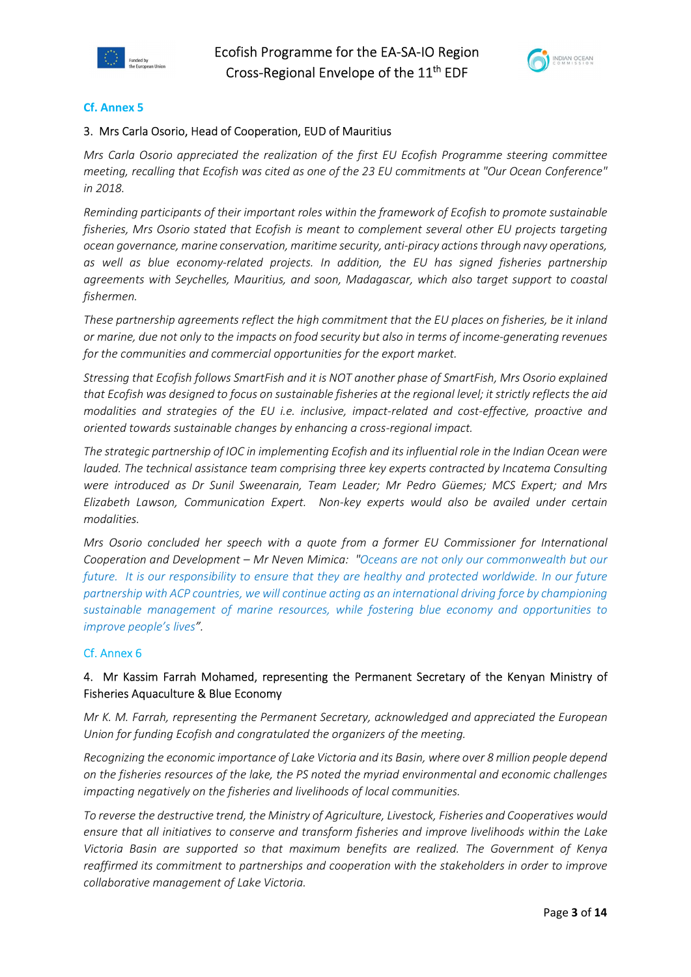



### Cf. Annex 5

### 3. Mrs Carla Osorio, Head of Cooperation, EUD of Mauritius

Mrs Carla Osorio appreciated the realization of the first EU Ecofish Programme steering committee meeting, recalling that Ecofish was cited as one of the 23 EU commitments at "Our Ocean Conference" in 2018.

Reminding participants of their important roles within the framework of Ecofish to promote sustainable fisheries, Mrs Osorio stated that Ecofish is meant to complement several other EU projects targeting ocean governance, marine conservation, maritime security, anti-piracy actions through navy operations, as well as blue economy-related projects. In addition, the EU has signed fisheries partnership agreements with Seychelles, Mauritius, and soon, Madagascar, which also target support to coastal fishermen.

These partnership agreements reflect the high commitment that the EU places on fisheries, be it inland or marine, due not only to the impacts on food security but also in terms of income-generating revenues for the communities and commercial opportunities for the export market.

Stressing that Ecofish follows SmartFish and it is NOT another phase of SmartFish, Mrs Osorio explained that Ecofish was designed to focus on sustainable fisheries at the regional level; it strictly reflects the aid modalities and strategies of the EU i.e. inclusive, impact-related and cost-effective, proactive and oriented towards sustainable changes by enhancing a cross-regional impact.

The strategic partnership of IOC in implementing Ecofish and its influential role in the Indian Ocean were lauded. The technical assistance team comprising three key experts contracted by Incatema Consulting were introduced as Dr Sunil Sweenarain, Team Leader; Mr Pedro Güemes; MCS Expert; and Mrs Elizabeth Lawson, Communication Expert. Non-key experts would also be availed under certain modalities.

Mrs Osorio concluded her speech with a quote from a former EU Commissioner for International Cooperation and Development – Mr Neven Mimica: "Oceans are not only our commonwealth but our future. It is our responsibility to ensure that they are healthy and protected worldwide. In our future partnership with ACP countries, we will continue acting as an international driving force by championing sustainable management of marine resources, while fostering blue economy and opportunities to improve people's lives".

### Cf. Annex 6

## 4. Mr Kassim Farrah Mohamed, representing the Permanent Secretary of the Kenyan Ministry of Fisheries Aquaculture & Blue Economy

Mr K. M. Farrah, representing the Permanent Secretary, acknowledged and appreciated the European Union for funding Ecofish and congratulated the organizers of the meeting.

Recognizing the economic importance of Lake Victoria and its Basin, where over 8 million people depend on the fisheries resources of the lake, the PS noted the myriad environmental and economic challenges impacting negatively on the fisheries and livelihoods of local communities.

To reverse the destructive trend, the Ministry of Agriculture, Livestock, Fisheries and Cooperatives would ensure that all initiatives to conserve and transform fisheries and improve livelihoods within the Lake Victoria Basin are supported so that maximum benefits are realized. The Government of Kenya reaffirmed its commitment to partnerships and cooperation with the stakeholders in order to improve collaborative management of Lake Victoria.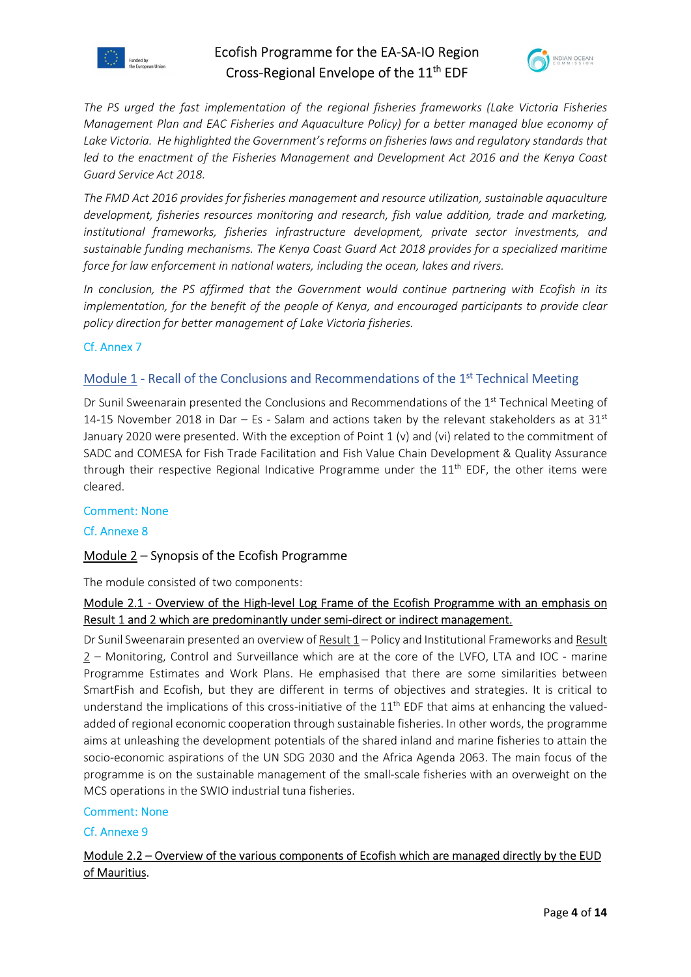



The PS urged the fast implementation of the regional fisheries frameworks (Lake Victoria Fisheries Management Plan and EAC Fisheries and Aquaculture Policy) for a better managed blue economy of Lake Victoria. He highlighted the Government's reforms on fisheries laws and regulatory standards that led to the enactment of the Fisheries Management and Development Act 2016 and the Kenya Coast Guard Service Act 2018.

The FMD Act 2016 provides for fisheries management and resource utilization, sustainable aquaculture development, fisheries resources monitoring and research, fish value addition, trade and marketing, institutional frameworks, fisheries infrastructure development, private sector investments, and sustainable funding mechanisms. The Kenya Coast Guard Act 2018 provides for a specialized maritime force for law enforcement in national waters, including the ocean, lakes and rivers.

In conclusion, the PS affirmed that the Government would continue partnering with Ecofish in its implementation, for the benefit of the people of Kenya, and encouraged participants to provide clear policy direction for better management of Lake Victoria fisheries.

## Cf. Annex 7

## Module 1 - Recall of the Conclusions and Recommendations of the 1st Technical Meeting

Dr Sunil Sweenarain presented the Conclusions and Recommendations of the 1<sup>st</sup> Technical Meeting of 14-15 November 2018 in Dar – Es - Salam and actions taken by the relevant stakeholders as at  $31<sup>st</sup>$ January 2020 were presented. With the exception of Point 1 (v) and (vi) related to the commitment of SADC and COMESA for Fish Trade Facilitation and Fish Value Chain Development & Quality Assurance through their respective Regional Indicative Programme under the  $11<sup>th</sup>$  EDF, the other items were cleared.

### Comment: None

### Cf. Annexe 8

## Module 2 – Synopsis of the Ecofish Programme

The module consisted of two components:

## Module 2.1 - Overview of the High-level Log Frame of the Ecofish Programme with an emphasis on Result 1 and 2 which are predominantly under semi-direct or indirect management.

Dr Sunil Sweenarain presented an overview of Result 1 – Policy and Institutional Frameworks and Result 2 – Monitoring, Control and Surveillance which are at the core of the LVFO, LTA and IOC - marine Programme Estimates and Work Plans. He emphasised that there are some similarities between SmartFish and Ecofish, but they are different in terms of objectives and strategies. It is critical to understand the implications of this cross-initiative of the  $11<sup>th</sup>$  EDF that aims at enhancing the valuedadded of regional economic cooperation through sustainable fisheries. In other words, the programme aims at unleashing the development potentials of the shared inland and marine fisheries to attain the socio-economic aspirations of the UN SDG 2030 and the Africa Agenda 2063. The main focus of the programme is on the sustainable management of the small-scale fisheries with an overweight on the MCS operations in the SWIO industrial tuna fisheries.

### Comment: None

### Cf. Annexe 9

## Module 2.2 – Overview of the various components of Ecofish which are managed directly by the EUD of Mauritius.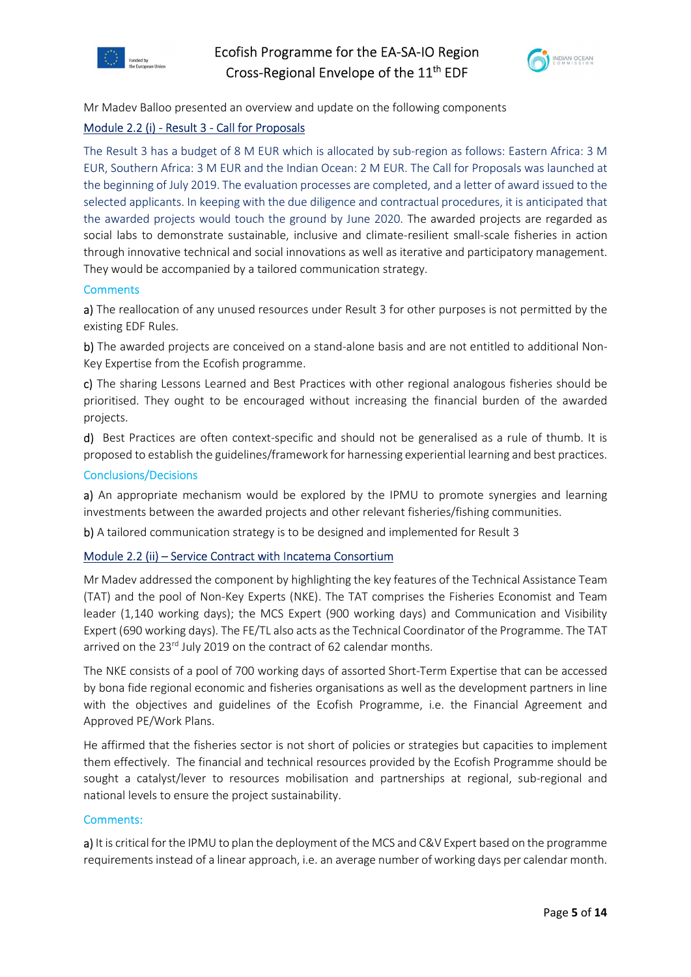



Mr Madev Balloo presented an overview and update on the following components

### Module 2.2 (i) - Result 3 - Call for Proposals

The Result 3 has a budget of 8 M EUR which is allocated by sub-region as follows: Eastern Africa: 3 M EUR, Southern Africa: 3 M EUR and the Indian Ocean: 2 M EUR. The Call for Proposals was launched at the beginning of July 2019. The evaluation processes are completed, and a letter of award issued to the selected applicants. In keeping with the due diligence and contractual procedures, it is anticipated that the awarded projects would touch the ground by June 2020. The awarded projects are regarded as social labs to demonstrate sustainable, inclusive and climate-resilient small-scale fisheries in action through innovative technical and social innovations as well as iterative and participatory management. They would be accompanied by a tailored communication strategy.

### **Comments**

a) The reallocation of any unused resources under Result 3 for other purposes is not permitted by the existing EDF Rules.

b) The awarded projects are conceived on a stand-alone basis and are not entitled to additional Non-Key Expertise from the Ecofish programme.

c) The sharing Lessons Learned and Best Practices with other regional analogous fisheries should be prioritised. They ought to be encouraged without increasing the financial burden of the awarded projects.

d) Best Practices are often context-specific and should not be generalised as a rule of thumb. It is proposed to establish the guidelines/framework for harnessing experiential learning and best practices.

### Conclusions/Decisions

a) An appropriate mechanism would be explored by the IPMU to promote synergies and learning investments between the awarded projects and other relevant fisheries/fishing communities.

b) A tailored communication strategy is to be designed and implemented for Result 3

### Module 2.2 (ii) – Service Contract with Incatema Consortium

Mr Madev addressed the component by highlighting the key features of the Technical Assistance Team (TAT) and the pool of Non-Key Experts (NKE). The TAT comprises the Fisheries Economist and Team leader (1,140 working days); the MCS Expert (900 working days) and Communication and Visibility Expert (690 working days). The FE/TL also acts as the Technical Coordinator of the Programme. The TAT arrived on the 23<sup>rd</sup> July 2019 on the contract of 62 calendar months.

The NKE consists of a pool of 700 working days of assorted Short-Term Expertise that can be accessed by bona fide regional economic and fisheries organisations as well as the development partners in line with the objectives and guidelines of the Ecofish Programme, i.e. the Financial Agreement and Approved PE/Work Plans.

He affirmed that the fisheries sector is not short of policies or strategies but capacities to implement them effectively. The financial and technical resources provided by the Ecofish Programme should be sought a catalyst/lever to resources mobilisation and partnerships at regional, sub-regional and national levels to ensure the project sustainability.

#### Comments:

a) It is critical for the IPMU to plan the deployment of the MCS and C&V Expert based on the programme requirements instead of a linear approach, i.e. an average number of working days per calendar month.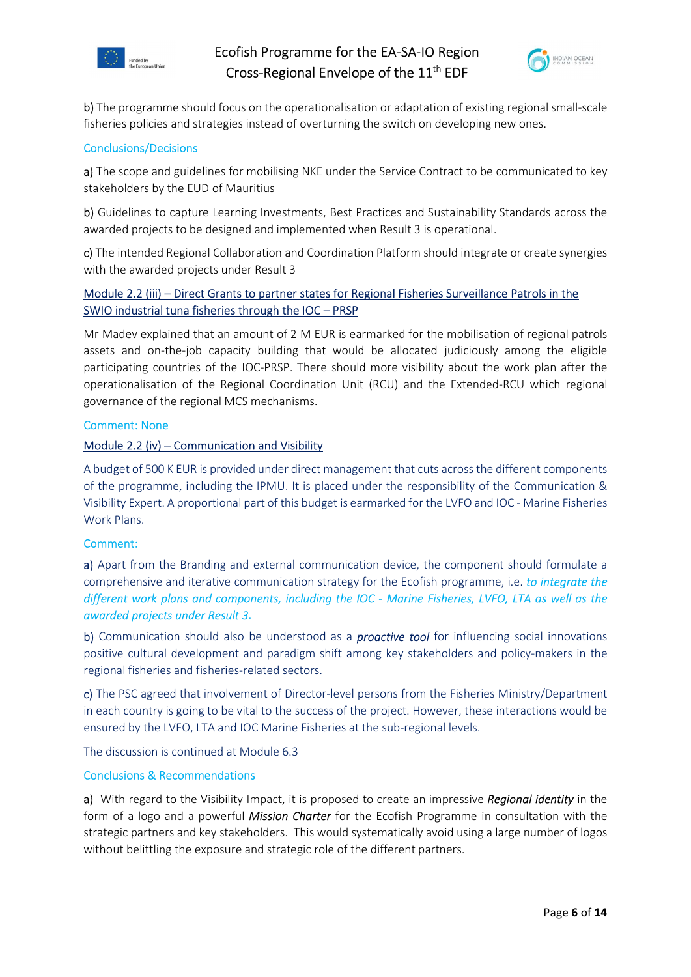



b) The programme should focus on the operationalisation or adaptation of existing regional small-scale fisheries policies and strategies instead of overturning the switch on developing new ones.

### Conclusions/Decisions

a) The scope and guidelines for mobilising NKE under the Service Contract to be communicated to key stakeholders by the EUD of Mauritius

b) Guidelines to capture Learning Investments, Best Practices and Sustainability Standards across the awarded projects to be designed and implemented when Result 3 is operational.

c) The intended Regional Collaboration and Coordination Platform should integrate or create synergies with the awarded projects under Result 3

## Module 2.2 (iii) – Direct Grants to partner states for Regional Fisheries Surveillance Patrols in the SWIO industrial tuna fisheries through the IOC – PRSP

Mr Madev explained that an amount of 2 M EUR is earmarked for the mobilisation of regional patrols assets and on-the-job capacity building that would be allocated judiciously among the eligible participating countries of the IOC-PRSP. There should more visibility about the work plan after the operationalisation of the Regional Coordination Unit (RCU) and the Extended-RCU which regional governance of the regional MCS mechanisms.

### Comment: None

### Module 2.2 (iv) – Communication and Visibility

A budget of 500 K EUR is provided under direct management that cuts across the different components of the programme, including the IPMU. It is placed under the responsibility of the Communication & Visibility Expert. A proportional part of this budget is earmarked for the LVFO and IOC - Marine Fisheries Work Plans.

#### Comment:

a) Apart from the Branding and external communication device, the component should formulate a comprehensive and iterative communication strategy for the Ecofish programme, i.e. to integrate the different work plans and components, including the IOC - Marine Fisheries, LVFO, LTA as well as the awarded projects under Result 3.

b) Communication should also be understood as a **proactive tool** for influencing social innovations positive cultural development and paradigm shift among key stakeholders and policy-makers in the regional fisheries and fisheries-related sectors.

c) The PSC agreed that involvement of Director-level persons from the Fisheries Ministry/Department in each country is going to be vital to the success of the project. However, these interactions would be ensured by the LVFO, LTA and IOC Marine Fisheries at the sub-regional levels.

The discussion is continued at Module 6.3

#### Conclusions & Recommendations

a) With regard to the Visibility Impact, it is proposed to create an impressive Regional identity in the form of a logo and a powerful *Mission Charter* for the Ecofish Programme in consultation with the strategic partners and key stakeholders. This would systematically avoid using a large number of logos without belittling the exposure and strategic role of the different partners.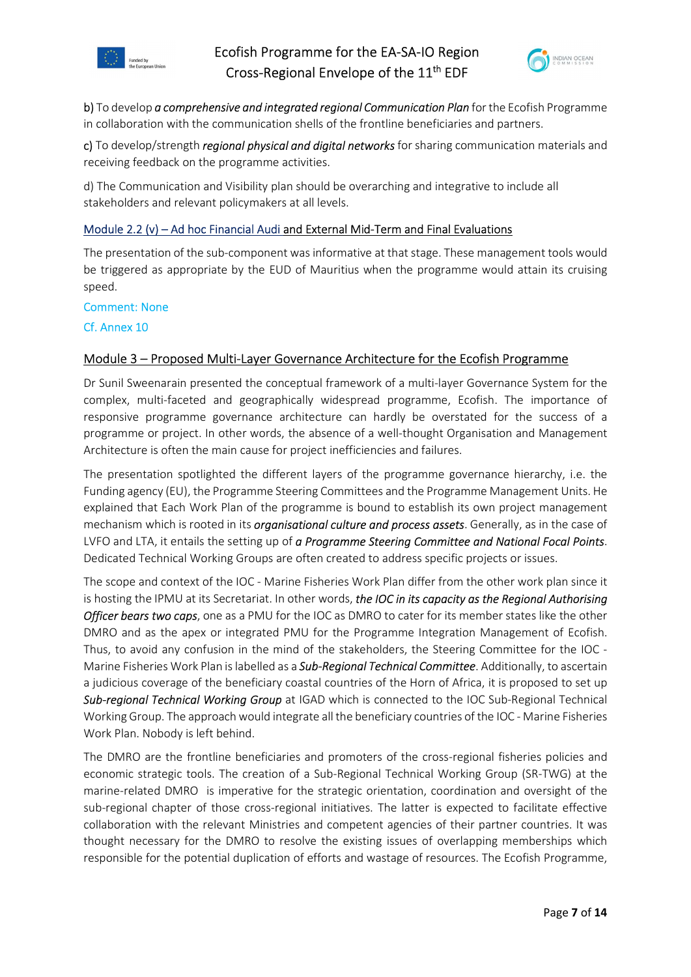



b) To develop a comprehensive and integrated regional Communication Plan for the Ecofish Programme in collaboration with the communication shells of the frontline beneficiaries and partners.

c) To develop/strength *regional physical and digital networks* for sharing communication materials and receiving feedback on the programme activities.

d) The Communication and Visibility plan should be overarching and integrative to include all stakeholders and relevant policymakers at all levels.

### Module 2.2 (v) – Ad hoc Financial Audi and External Mid-Term and Final Evaluations

The presentation of the sub-component was informative at that stage. These management tools would be triggered as appropriate by the EUD of Mauritius when the programme would attain its cruising speed.

### Comment: None

Cf. Annex 10

### Module 3 – Proposed Multi-Layer Governance Architecture for the Ecofish Programme

Dr Sunil Sweenarain presented the conceptual framework of a multi-layer Governance System for the complex, multi-faceted and geographically widespread programme, Ecofish. The importance of responsive programme governance architecture can hardly be overstated for the success of a programme or project. In other words, the absence of a well-thought Organisation and Management Architecture is often the main cause for project inefficiencies and failures.

The presentation spotlighted the different layers of the programme governance hierarchy, i.e. the Funding agency (EU), the Programme Steering Committees and the Programme Management Units. He explained that Each Work Plan of the programme is bound to establish its own project management mechanism which is rooted in its *organisational culture and process assets*. Generally, as in the case of LVFO and LTA, it entails the setting up of a Programme Steering Committee and National Focal Points. Dedicated Technical Working Groups are often created to address specific projects or issues.

The scope and context of the IOC - Marine Fisheries Work Plan differ from the other work plan since it is hosting the IPMU at its Secretariat. In other words, the IOC in its capacity as the Regional Authorising Officer bears two caps, one as a PMU for the IOC as DMRO to cater for its member states like the other DMRO and as the apex or integrated PMU for the Programme Integration Management of Ecofish. Thus, to avoid any confusion in the mind of the stakeholders, the Steering Committee for the IOC - Marine Fisheries Work Plan is labelled as a Sub-Regional Technical Committee. Additionally, to ascertain a judicious coverage of the beneficiary coastal countries of the Horn of Africa, it is proposed to set up Sub-regional Technical Working Group at IGAD which is connected to the IOC Sub-Regional Technical Working Group. The approach would integrate all the beneficiary countries of the IOC - Marine Fisheries Work Plan. Nobody is left behind.

The DMRO are the frontline beneficiaries and promoters of the cross-regional fisheries policies and economic strategic tools. The creation of a Sub-Regional Technical Working Group (SR-TWG) at the marine-related DMRO is imperative for the strategic orientation, coordination and oversight of the sub-regional chapter of those cross-regional initiatives. The latter is expected to facilitate effective collaboration with the relevant Ministries and competent agencies of their partner countries. It was thought necessary for the DMRO to resolve the existing issues of overlapping memberships which responsible for the potential duplication of efforts and wastage of resources. The Ecofish Programme,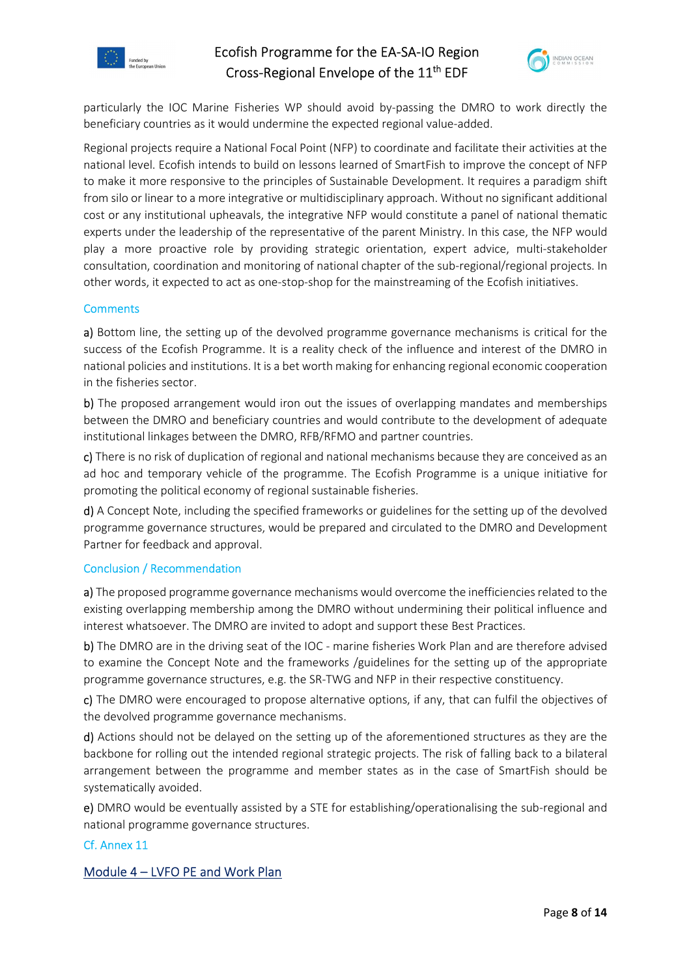



particularly the IOC Marine Fisheries WP should avoid by-passing the DMRO to work directly the beneficiary countries as it would undermine the expected regional value-added.

Regional projects require a National Focal Point (NFP) to coordinate and facilitate their activities at the national level. Ecofish intends to build on lessons learned of SmartFish to improve the concept of NFP to make it more responsive to the principles of Sustainable Development. It requires a paradigm shift from silo or linear to a more integrative or multidisciplinary approach. Without no significant additional cost or any institutional upheavals, the integrative NFP would constitute a panel of national thematic experts under the leadership of the representative of the parent Ministry. In this case, the NFP would play a more proactive role by providing strategic orientation, expert advice, multi-stakeholder consultation, coordination and monitoring of national chapter of the sub-regional/regional projects. In other words, it expected to act as one-stop-shop for the mainstreaming of the Ecofish initiatives.

### **Comments**

a) Bottom line, the setting up of the devolved programme governance mechanisms is critical for the success of the Ecofish Programme. It is a reality check of the influence and interest of the DMRO in national policies and institutions. It is a bet worth making for enhancing regional economic cooperation in the fisheries sector.

b) The proposed arrangement would iron out the issues of overlapping mandates and memberships between the DMRO and beneficiary countries and would contribute to the development of adequate institutional linkages between the DMRO, RFB/RFMO and partner countries.

c) There is no risk of duplication of regional and national mechanisms because they are conceived as an ad hoc and temporary vehicle of the programme. The Ecofish Programme is a unique initiative for promoting the political economy of regional sustainable fisheries.

d) A Concept Note, including the specified frameworks or guidelines for the setting up of the devolved programme governance structures, would be prepared and circulated to the DMRO and Development Partner for feedback and approval.

### Conclusion / Recommendation

a) The proposed programme governance mechanisms would overcome the inefficiencies related to the existing overlapping membership among the DMRO without undermining their political influence and interest whatsoever. The DMRO are invited to adopt and support these Best Practices.

b) The DMRO are in the driving seat of the IOC - marine fisheries Work Plan and are therefore advised to examine the Concept Note and the frameworks /guidelines for the setting up of the appropriate programme governance structures, e.g. the SR-TWG and NFP in their respective constituency.

c) The DMRO were encouraged to propose alternative options, if any, that can fulfil the objectives of the devolved programme governance mechanisms.

d) Actions should not be delayed on the setting up of the aforementioned structures as they are the backbone for rolling out the intended regional strategic projects. The risk of falling back to a bilateral arrangement between the programme and member states as in the case of SmartFish should be systematically avoided.

e) DMRO would be eventually assisted by a STE for establishing/operationalising the sub-regional and national programme governance structures.

### Cf. Annex 11

## Module 4 – LVFO PE and Work Plan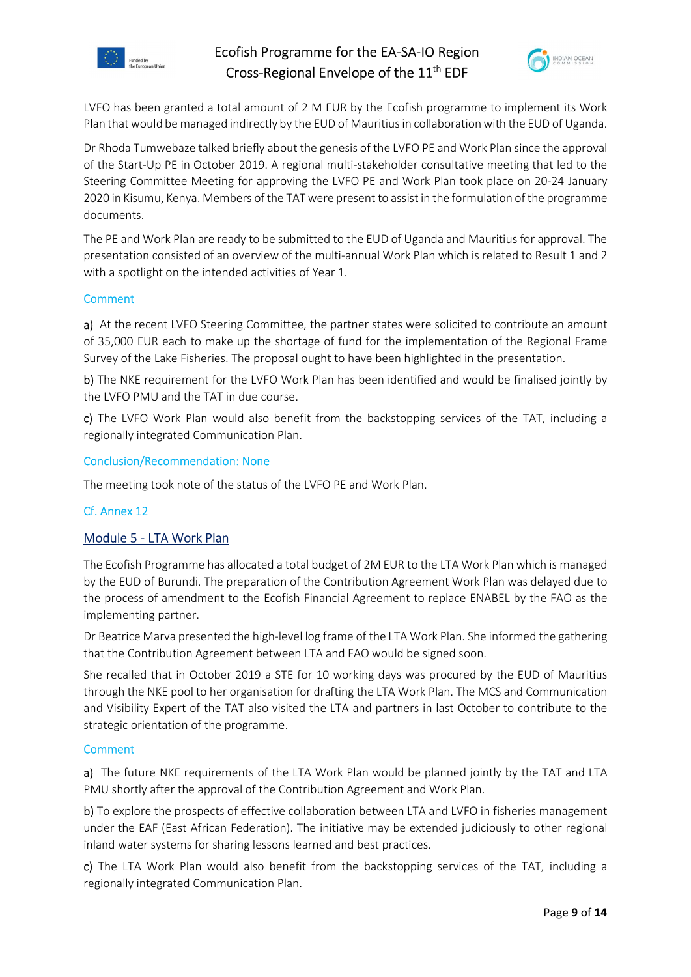



LVFO has been granted a total amount of 2 M EUR by the Ecofish programme to implement its Work Plan that would be managed indirectly by the EUD of Mauritius in collaboration with the EUD of Uganda.

Dr Rhoda Tumwebaze talked briefly about the genesis of the LVFO PE and Work Plan since the approval of the Start-Up PE in October 2019. A regional multi-stakeholder consultative meeting that led to the Steering Committee Meeting for approving the LVFO PE and Work Plan took place on 20-24 January 2020 in Kisumu, Kenya. Members of the TAT were present to assist in the formulation of the programme documents.

The PE and Work Plan are ready to be submitted to the EUD of Uganda and Mauritius for approval. The presentation consisted of an overview of the multi-annual Work Plan which is related to Result 1 and 2 with a spotlight on the intended activities of Year 1.

### Comment

a) At the recent LVFO Steering Committee, the partner states were solicited to contribute an amount of 35,000 EUR each to make up the shortage of fund for the implementation of the Regional Frame Survey of the Lake Fisheries. The proposal ought to have been highlighted in the presentation.

b) The NKE requirement for the LVFO Work Plan has been identified and would be finalised jointly by the LVFO PMU and the TAT in due course.

c) The LVFO Work Plan would also benefit from the backstopping services of the TAT, including a regionally integrated Communication Plan.

### Conclusion/Recommendation: None

The meeting took note of the status of the LVFO PE and Work Plan.

## Cf. Annex 12

## Module 5 - LTA Work Plan

The Ecofish Programme has allocated a total budget of 2M EUR to the LTA Work Plan which is managed by the EUD of Burundi. The preparation of the Contribution Agreement Work Plan was delayed due to the process of amendment to the Ecofish Financial Agreement to replace ENABEL by the FAO as the implementing partner.

Dr Beatrice Marva presented the high-level log frame of the LTA Work Plan. She informed the gathering that the Contribution Agreement between LTA and FAO would be signed soon.

She recalled that in October 2019 a STE for 10 working days was procured by the EUD of Mauritius through the NKE pool to her organisation for drafting the LTA Work Plan. The MCS and Communication and Visibility Expert of the TAT also visited the LTA and partners in last October to contribute to the strategic orientation of the programme.

### Comment

a) The future NKE requirements of the LTA Work Plan would be planned jointly by the TAT and LTA PMU shortly after the approval of the Contribution Agreement and Work Plan.

b) To explore the prospects of effective collaboration between LTA and LVFO in fisheries management under the EAF (East African Federation). The initiative may be extended judiciously to other regional inland water systems for sharing lessons learned and best practices.

c) The LTA Work Plan would also benefit from the backstopping services of the TAT, including a regionally integrated Communication Plan.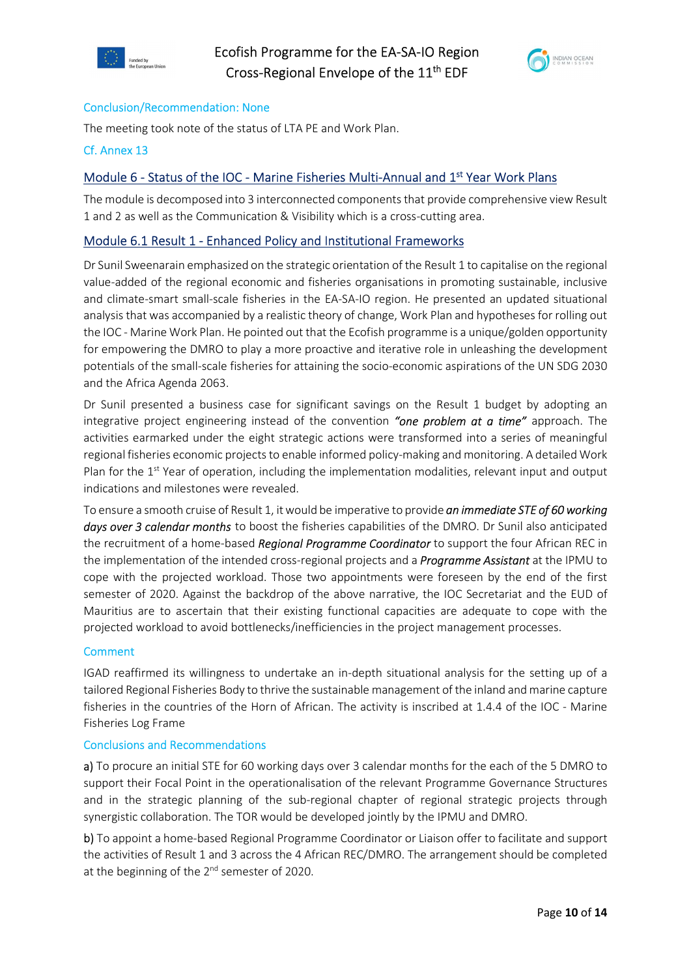



### Conclusion/Recommendation: None

The meeting took note of the status of LTA PE and Work Plan.

### Cf. Annex 13

## Module 6 - Status of the IOC - Marine Fisheries Multi-Annual and 1<sup>st</sup> Year Work Plans

The module is decomposed into 3 interconnected components that provide comprehensive view Result 1 and 2 as well as the Communication & Visibility which is a cross-cutting area.

## Module 6.1 Result 1 - Enhanced Policy and Institutional Frameworks

Dr Sunil Sweenarain emphasized on the strategic orientation of the Result 1 to capitalise on the regional value-added of the regional economic and fisheries organisations in promoting sustainable, inclusive and climate-smart small-scale fisheries in the EA-SA-IO region. He presented an updated situational analysis that was accompanied by a realistic theory of change, Work Plan and hypotheses for rolling out the IOC - Marine Work Plan. He pointed out that the Ecofish programme is a unique/golden opportunity for empowering the DMRO to play a more proactive and iterative role in unleashing the development potentials of the small-scale fisheries for attaining the socio-economic aspirations of the UN SDG 2030 and the Africa Agenda 2063.

Dr Sunil presented a business case for significant savings on the Result 1 budget by adopting an integrative project engineering instead of the convention "one problem at a time" approach. The activities earmarked under the eight strategic actions were transformed into a series of meaningful regional fisheries economic projects to enable informed policy-making and monitoring. A detailed Work Plan for the 1<sup>st</sup> Year of operation, including the implementation modalities, relevant input and output indications and milestones were revealed.

To ensure a smooth cruise of Result 1, it would be imperative to provide *an immediate STE of 60 working* days over 3 calendar months to boost the fisheries capabilities of the DMRO. Dr Sunil also anticipated the recruitment of a home-based Regional Programme Coordinator to support the four African REC in the implementation of the intended cross-regional projects and a **Programme Assistant** at the IPMU to cope with the projected workload. Those two appointments were foreseen by the end of the first semester of 2020. Against the backdrop of the above narrative, the IOC Secretariat and the EUD of Mauritius are to ascertain that their existing functional capacities are adequate to cope with the projected workload to avoid bottlenecks/inefficiencies in the project management processes.

### **Comment**

IGAD reaffirmed its willingness to undertake an in-depth situational analysis for the setting up of a tailored Regional Fisheries Body to thrive the sustainable management of the inland and marine capture fisheries in the countries of the Horn of African. The activity is inscribed at 1.4.4 of the IOC - Marine Fisheries Log Frame

### Conclusions and Recommendations

a) To procure an initial STE for 60 working days over 3 calendar months for the each of the 5 DMRO to support their Focal Point in the operationalisation of the relevant Programme Governance Structures and in the strategic planning of the sub-regional chapter of regional strategic projects through synergistic collaboration. The TOR would be developed jointly by the IPMU and DMRO.

b) To appoint a home-based Regional Programme Coordinator or Liaison offer to facilitate and support the activities of Result 1 and 3 across the 4 African REC/DMRO. The arrangement should be completed at the beginning of the  $2^{nd}$  semester of 2020.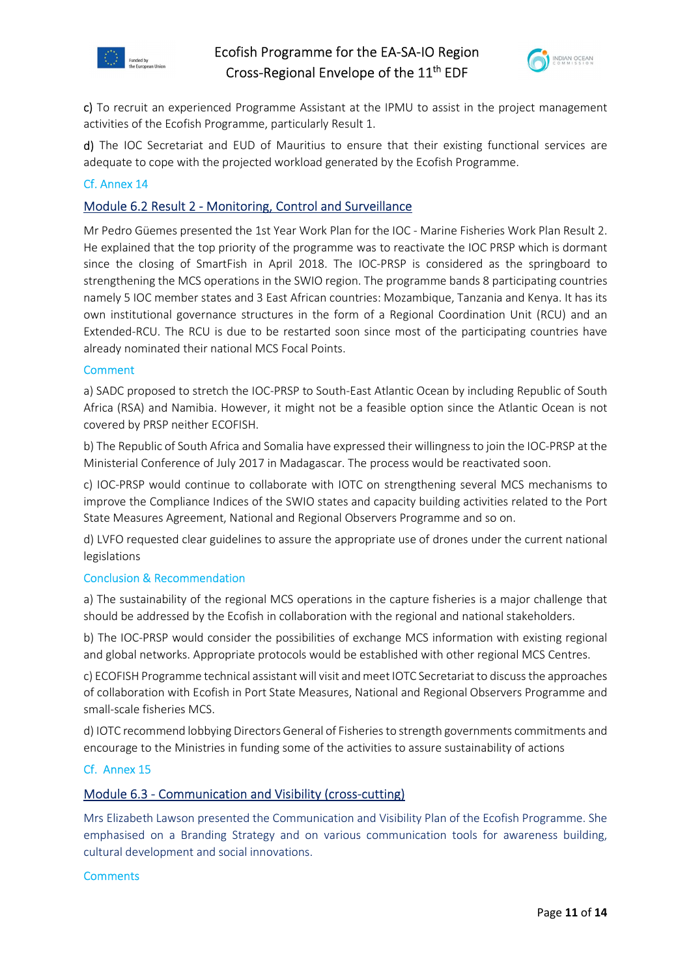



c) To recruit an experienced Programme Assistant at the IPMU to assist in the project management activities of the Ecofish Programme, particularly Result 1.

d) The IOC Secretariat and EUD of Mauritius to ensure that their existing functional services are adequate to cope with the projected workload generated by the Ecofish Programme.

### Cf. Annex 14

### Module 6.2 Result 2 - Monitoring, Control and Surveillance

Mr Pedro Güemes presented the 1st Year Work Plan for the IOC - Marine Fisheries Work Plan Result 2. He explained that the top priority of the programme was to reactivate the IOC PRSP which is dormant since the closing of SmartFish in April 2018. The IOC-PRSP is considered as the springboard to strengthening the MCS operations in the SWIO region. The programme bands 8 participating countries namely 5 IOC member states and 3 East African countries: Mozambique, Tanzania and Kenya. It has its own institutional governance structures in the form of a Regional Coordination Unit (RCU) and an Extended-RCU. The RCU is due to be restarted soon since most of the participating countries have already nominated their national MCS Focal Points.

### **Comment**

a) SADC proposed to stretch the IOC-PRSP to South-East Atlantic Ocean by including Republic of South Africa (RSA) and Namibia. However, it might not be a feasible option since the Atlantic Ocean is not covered by PRSP neither ECOFISH.

b) The Republic of South Africa and Somalia have expressed their willingness to join the IOC-PRSP at the Ministerial Conference of July 2017 in Madagascar. The process would be reactivated soon.

c) IOC-PRSP would continue to collaborate with IOTC on strengthening several MCS mechanisms to improve the Compliance Indices of the SWIO states and capacity building activities related to the Port State Measures Agreement, National and Regional Observers Programme and so on.

d) LVFO requested clear guidelines to assure the appropriate use of drones under the current national legislations

### Conclusion & Recommendation

a) The sustainability of the regional MCS operations in the capture fisheries is a major challenge that should be addressed by the Ecofish in collaboration with the regional and national stakeholders.

b) The IOC-PRSP would consider the possibilities of exchange MCS information with existing regional and global networks. Appropriate protocols would be established with other regional MCS Centres.

c) ECOFISH Programme technical assistant will visit and meet IOTC Secretariat to discuss the approaches of collaboration with Ecofish in Port State Measures, National and Regional Observers Programme and small-scale fisheries MCS.

d) IOTC recommend lobbying Directors General of Fisheries to strength governments commitments and encourage to the Ministries in funding some of the activities to assure sustainability of actions

### Cf. Annex 15

### Module 6.3 - Communication and Visibility (cross-cutting)

Mrs Elizabeth Lawson presented the Communication and Visibility Plan of the Ecofish Programme. She emphasised on a Branding Strategy and on various communication tools for awareness building, cultural development and social innovations.

#### **Comments**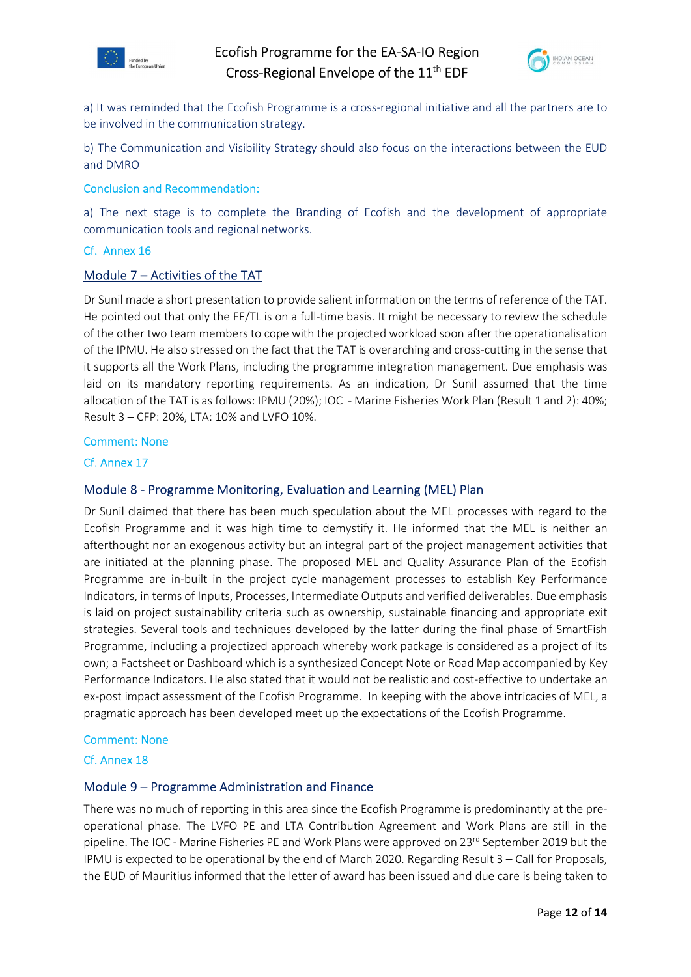



a) It was reminded that the Ecofish Programme is a cross-regional initiative and all the partners are to be involved in the communication strategy.

b) The Communication and Visibility Strategy should also focus on the interactions between the EUD and DMRO

### Conclusion and Recommendation:

a) The next stage is to complete the Branding of Ecofish and the development of appropriate communication tools and regional networks.

### Cf. Annex 16

### Module 7 – Activities of the TAT

Dr Sunil made a short presentation to provide salient information on the terms of reference of the TAT. He pointed out that only the FE/TL is on a full-time basis. It might be necessary to review the schedule of the other two team members to cope with the projected workload soon after the operationalisation of the IPMU. He also stressed on the fact that the TAT is overarching and cross-cutting in the sense that it supports all the Work Plans, including the programme integration management. Due emphasis was laid on its mandatory reporting requirements. As an indication, Dr Sunil assumed that the time allocation of the TAT is as follows: IPMU (20%); IOC - Marine Fisheries Work Plan (Result 1 and 2): 40%; Result 3 – CFP: 20%, LTA: 10% and LVFO 10%.

### Comment: None

### Cf. Annex 17

### Module 8 - Programme Monitoring, Evaluation and Learning (MEL) Plan

Dr Sunil claimed that there has been much speculation about the MEL processes with regard to the Ecofish Programme and it was high time to demystify it. He informed that the MEL is neither an afterthought nor an exogenous activity but an integral part of the project management activities that are initiated at the planning phase. The proposed MEL and Quality Assurance Plan of the Ecofish Programme are in-built in the project cycle management processes to establish Key Performance Indicators, in terms of Inputs, Processes, Intermediate Outputs and verified deliverables. Due emphasis is laid on project sustainability criteria such as ownership, sustainable financing and appropriate exit strategies. Several tools and techniques developed by the latter during the final phase of SmartFish Programme, including a projectized approach whereby work package is considered as a project of its own; a Factsheet or Dashboard which is a synthesized Concept Note or Road Map accompanied by Key Performance Indicators. He also stated that it would not be realistic and cost-effective to undertake an ex-post impact assessment of the Ecofish Programme. In keeping with the above intricacies of MEL, a pragmatic approach has been developed meet up the expectations of the Ecofish Programme.

### Comment: None

### Cf. Annex 18

### Module 9 – Programme Administration and Finance

There was no much of reporting in this area since the Ecofish Programme is predominantly at the preoperational phase. The LVFO PE and LTA Contribution Agreement and Work Plans are still in the pipeline. The IOC - Marine Fisheries PE and Work Plans were approved on 23<sup>rd</sup> September 2019 but the IPMU is expected to be operational by the end of March 2020. Regarding Result 3 – Call for Proposals, the EUD of Mauritius informed that the letter of award has been issued and due care is being taken to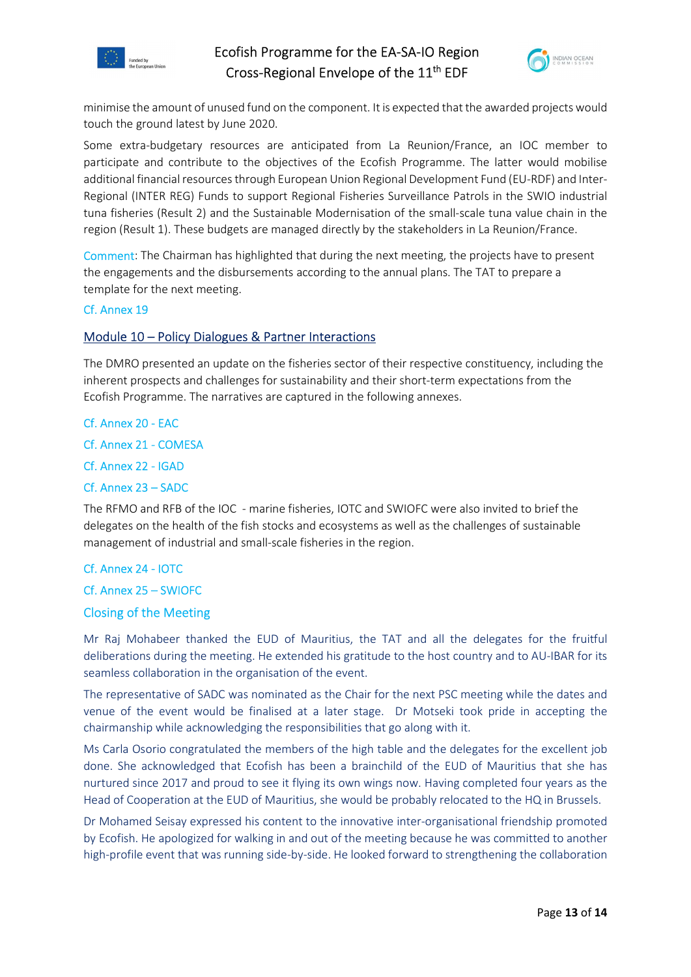



minimise the amount of unused fund on the component. It is expected that the awarded projects would touch the ground latest by June 2020.

Some extra-budgetary resources are anticipated from La Reunion/France, an IOC member to participate and contribute to the objectives of the Ecofish Programme. The latter would mobilise additional financial resources through European Union Regional Development Fund (EU-RDF) and Inter-Regional (INTER REG) Funds to support Regional Fisheries Surveillance Patrols in the SWIO industrial tuna fisheries (Result 2) and the Sustainable Modernisation of the small-scale tuna value chain in the region (Result 1). These budgets are managed directly by the stakeholders in La Reunion/France.

Comment: The Chairman has highlighted that during the next meeting, the projects have to present the engagements and the disbursements according to the annual plans. The TAT to prepare a template for the next meeting.

### Cf. Annex 19

### Module 10 – Policy Dialogues & Partner Interactions

The DMRO presented an update on the fisheries sector of their respective constituency, including the inherent prospects and challenges for sustainability and their short-term expectations from the Ecofish Programme. The narratives are captured in the following annexes.

### Cf. Annex 20 - EAC

Cf. Annex 21 - COMESA

Cf. Annex 22 - IGAD

### Cf. Annex 23 – SADC

The RFMO and RFB of the IOC - marine fisheries, IOTC and SWIOFC were also invited to brief the delegates on the health of the fish stocks and ecosystems as well as the challenges of sustainable management of industrial and small-scale fisheries in the region.

### Cf. Annex 24 - IOTC

### Cf. Annex 25 – SWIOFC

### Closing of the Meeting

Mr Raj Mohabeer thanked the EUD of Mauritius, the TAT and all the delegates for the fruitful deliberations during the meeting. He extended his gratitude to the host country and to AU-IBAR for its seamless collaboration in the organisation of the event.

The representative of SADC was nominated as the Chair for the next PSC meeting while the dates and venue of the event would be finalised at a later stage. Dr Motseki took pride in accepting the chairmanship while acknowledging the responsibilities that go along with it.

Ms Carla Osorio congratulated the members of the high table and the delegates for the excellent job done. She acknowledged that Ecofish has been a brainchild of the EUD of Mauritius that she has nurtured since 2017 and proud to see it flying its own wings now. Having completed four years as the Head of Cooperation at the EUD of Mauritius, she would be probably relocated to the HQ in Brussels.

Dr Mohamed Seisay expressed his content to the innovative inter-organisational friendship promoted by Ecofish. He apologized for walking in and out of the meeting because he was committed to another high-profile event that was running side-by-side. He looked forward to strengthening the collaboration